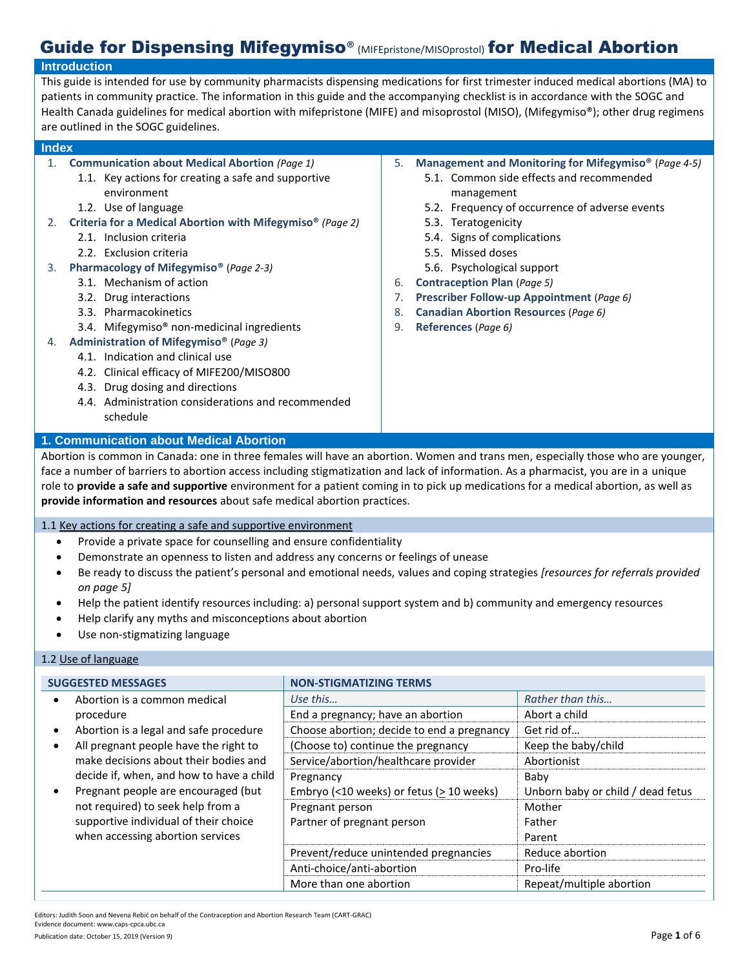# Guide for Dispensing Mifegymiso<sup>®</sup> (MIFEpristone/MISOprostol) for Medical Abortion

#### **Introduction** This guide is intended for use by community pharmacists dispensing medications for first trimester induced medical abortions (MA) to patients in community practice. The information in this guide and the accompanying checklist is in accordance with the SOGC and Health Canada guidelines for medical abortion with mifepristone (MIFE) and misoprostol (MISO), (Mifegymiso®); other drug regimens are outlined in the SOGC guidelines. **Index**  1. **Communication about Medical Abortion** *(Page 1)* 1.1. Key actions for creating a safe and supportive environment 1.2. Use of language 2. **Criteria for a Medical Abortion with Mifegymiso®** *(Page 2)* 2.1. Inclusion criteria 2.2. Exclusion criteria 3. **Pharmacology of Mifegymiso®** (*Page 2-3)* 3.1. Mechanism of action 3.2. Drug interactions 3.3. Pharmacokinetics 3.4. Mifegymiso® non-medicinal ingredients 4. **Administration of Mifegymiso®** (*Page 3)* 4.1. Indication and clinical use 4.2. Clinical efficacy of MIFE200/MISO800 4.3. Drug dosing and directions 4.4. Administration considerations and recommended schedule 5. **Management and Monitoring for Mifegymiso®** (*Page 4-5)* 5.1. Common side effects and recommended management 5.2. Frequency of occurrence of adverse events 5.3. Teratogenicity 5.4. Signs of complications 5.5. Missed doses 5.6. Psychological support 6. **Contraception Plan** (*Page 5)* 7. **Prescriber Follow-up Appointment** (*Page 6)* 8. **Canadian Abortion Resources** (*Page 6)* 9. **References** (*Page 6)* **1. Communication about Medical Abortion**

Abortion is common in Canada: one in three females will have an abortion. Women and trans men, especially those who are younger, face a number of barriers to abortion access including stigmatization and lack of information. As a pharmacist, you are in a unique role to **provide a safe and supportive** environment for a patient coming in to pick up medications for a medical abortion, as well as **provide information and resources** about safe medical abortion practices.

1.1 Key actions for creating a safe and supportive environment

- Provide a private space for counselling and ensure confidentiality
- Demonstrate an openness to listen and address any concerns or feelings of unease
- Be ready to discuss the patient's personal and emotional needs, values and coping strategies *[resources for referrals provided on page 5]*
- Help the patient identify resources including: a) personal support system and b) community and emergency resources
- Help clarify any myths and misconceptions about abortion
- Use non-stigmatizing language

## 1.2 Use of language

| <b>SUGGESTED MESSAGES</b> |                                                                                                                                                       | <b>NON-STIGMATIZING TERMS</b>                  |                                   |
|---------------------------|-------------------------------------------------------------------------------------------------------------------------------------------------------|------------------------------------------------|-----------------------------------|
|                           | Abortion is a common medical                                                                                                                          | Use this                                       | Rather than this                  |
|                           | procedure                                                                                                                                             | End a pregnancy; have an abortion              | Abort a child                     |
|                           | Abortion is a legal and safe procedure                                                                                                                | Choose abortion; decide to end a pregnancy     | Get rid of                        |
|                           | All pregnant people have the right to                                                                                                                 | (Choose to) continue the pregnancy             | Keep the baby/child               |
|                           | make decisions about their bodies and<br>decide if, when, and how to have a child                                                                     | Service/abortion/healthcare provider           | Abortionist                       |
|                           |                                                                                                                                                       | Pregnancy                                      | Baby                              |
|                           | Pregnant people are encouraged (but<br>not required) to seek help from a<br>supportive individual of their choice<br>when accessing abortion services | Embryo (<10 weeks) or fetus ( $\geq$ 10 weeks) | Unborn baby or child / dead fetus |
|                           |                                                                                                                                                       | Pregnant person                                | Mother                            |
|                           |                                                                                                                                                       | Partner of pregnant person                     | Father                            |
|                           |                                                                                                                                                       |                                                | Parent                            |
|                           |                                                                                                                                                       | Prevent/reduce unintended pregnancies          | Reduce abortion                   |
|                           |                                                                                                                                                       | Anti-choice/anti-abortion                      | Pro-life                          |
|                           |                                                                                                                                                       | More than one abortion                         | Repeat/multiple abortion          |

Editors: Judith Soon and Nevena Rebić on behalf of the Contraception and Abortion Research Team (CART-GRAC) Evidence document: www.caps-cpca.ubc.ca

Publication date: October 15, 2019 (Version 9) **Page 1** of 6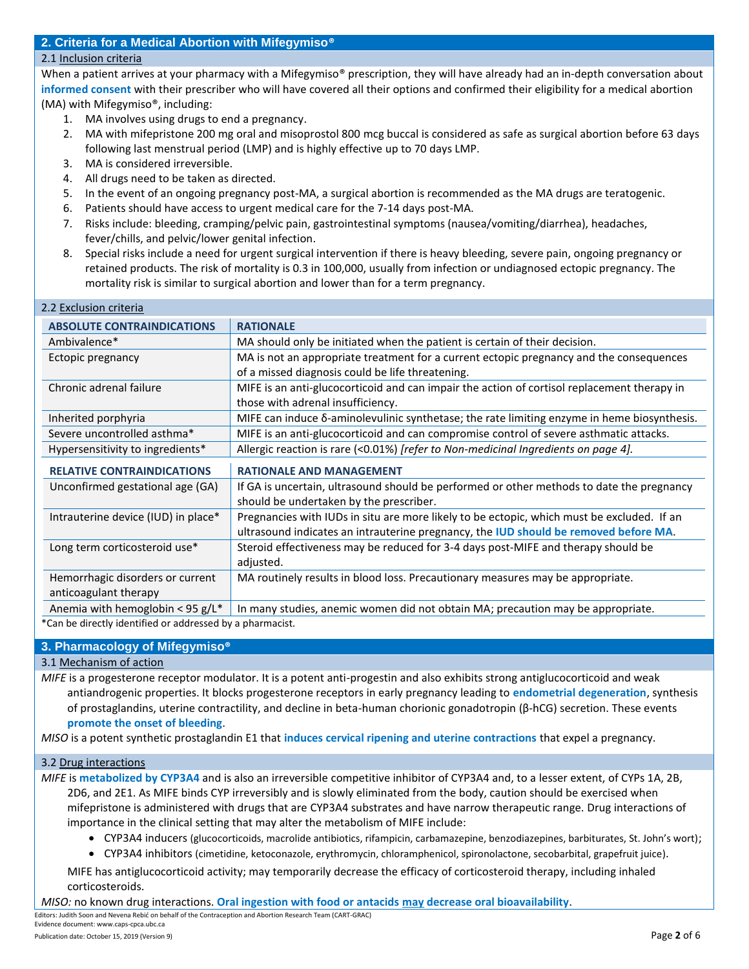## **2. Criteria for a Medical Abortion with Mifegymiso®**

## 2.1 Inclusion criteria

When a patient arrives at your pharmacy with a Mifegymiso<sup>®</sup> prescription, they will have already had an in-depth conversation about **informed consent** with their prescriber who will have covered all their options and confirmed their eligibility for a medical abortion (MA) with Mifegymiso®, including:

- 1. MA involves using drugs to end a pregnancy.
- 2. MA with mifepristone 200 mg oral and misoprostol 800 mcg buccal is considered as safe as surgical abortion before 63 days following last menstrual period (LMP) and is highly effective up to 70 days LMP.
- 3. MA is considered irreversible.
- 4. All drugs need to be taken as directed.
- 5. In the event of an ongoing pregnancy post-MA, a surgical abortion is recommended as the MA drugs are teratogenic.
- 6. Patients should have access to urgent medical care for the 7-14 days post-MA.
- 7. Risks include: bleeding, cramping/pelvic pain, gastrointestinal symptoms (nausea/vomiting/diarrhea), headaches, fever/chills, and pelvic/lower genital infection.
- 8. Special risks include a need for urgent surgical intervention if there is heavy bleeding, severe pain, ongoing pregnancy or retained products. The risk of mortality is 0.3 in 100,000, usually from infection or undiagnosed ectopic pregnancy. The mortality risk is similar to surgical abortion and lower than for a term pregnancy.

| 2.2 Exclusion criteria              |                                                                                             |  |
|-------------------------------------|---------------------------------------------------------------------------------------------|--|
| <b>ABSOLUTE CONTRAINDICATIONS</b>   | <b>RATIONALE</b>                                                                            |  |
| Ambivalence*                        | MA should only be initiated when the patient is certain of their decision.                  |  |
| Ectopic pregnancy                   | MA is not an appropriate treatment for a current ectopic pregnancy and the consequences     |  |
|                                     | of a missed diagnosis could be life threatening.                                            |  |
| Chronic adrenal failure             | MIFE is an anti-glucocorticoid and can impair the action of cortisol replacement therapy in |  |
|                                     | those with adrenal insufficiency.                                                           |  |
| Inherited porphyria                 | MIFE can induce δ-aminolevulinic synthetase; the rate limiting enzyme in heme biosynthesis. |  |
| Severe uncontrolled asthma*         | MIFE is an anti-glucocorticoid and can compromise control of severe asthmatic attacks.      |  |
| Hypersensitivity to ingredients*    | Allergic reaction is rare (<0.01%) [refer to Non-medicinal Ingredients on page 4].          |  |
| <b>RELATIVE CONTRAINDICATIONS</b>   | <b>RATIONALE AND MANAGEMENT</b>                                                             |  |
| Unconfirmed gestational age (GA)    | If GA is uncertain, ultrasound should be performed or other methods to date the pregnancy   |  |
|                                     | should be undertaken by the prescriber.                                                     |  |
| Intrauterine device (IUD) in place* | Pregnancies with IUDs in situ are more likely to be ectopic, which must be excluded. If an  |  |
|                                     | ultrasound indicates an intrauterine pregnancy, the IUD should be removed before MA.        |  |
| Long term corticosteroid use*       | Steroid effectiveness may be reduced for 3-4 days post-MIFE and therapy should be           |  |
|                                     | adjusted.                                                                                   |  |
| Hemorrhagic disorders or current    | MA routinely results in blood loss. Precautionary measures may be appropriate.              |  |
| anticoagulant therapy               |                                                                                             |  |
|                                     | In many studies, anemic women did not obtain MA; precaution may be appropriate.             |  |
| Anemia with hemoglobin < 95 g/L*    |                                                                                             |  |

\*Can be directly identified or addressed by a pharmacist.

## **3. Pharmacology of Mifegymiso®**

### 3.1 Mechanism of action

*MIFE* is a progesterone receptor modulator. It is a potent anti-progestin and also exhibits strong antiglucocorticoid and weak antiandrogenic properties. It blocks progesterone receptors in early pregnancy leading to **endometrial degeneration**, synthesis of prostaglandins, uterine contractility, and decline in beta-human chorionic gonadotropin (β-hCG) secretion. These events **promote the onset of bleeding**.

*MISO* is a potent synthetic prostaglandin E1 that **induces cervical ripening and uterine contractions** that expel a pregnancy.

### 3.2 Drug interactions

*MIFE* is **metabolized by CYP3A4** and is also an irreversible competitive inhibitor of CYP3A4 and, to a lesser extent, of CYPs 1A, 2B, 2D6, and 2E1. As MIFE binds CYP irreversibly and is slowly eliminated from the body, caution should be exercised when mifepristone is administered with drugs that are CYP3A4 substrates and have narrow therapeutic range. Drug interactions of importance in the clinical setting that may alter the metabolism of MIFE include:

- CYP3A4 inducers (glucocorticoids, macrolide antibiotics, rifampicin, carbamazepine, benzodiazepines, barbiturates, St. John's wort);
- CYP3A4 inhibitors (cimetidine, ketoconazole, erythromycin, chloramphenicol, spironolactone, secobarbital, grapefruit juice).

MIFE has antiglucocorticoid activity; may temporarily decrease the efficacy of corticosteroid therapy, including inhaled corticosteroids.

*MISO:* no known drug interactions. **Oral ingestion with food or antacids may decrease oral bioavailability**.

Editors: Judith Soon and Nevena Rebić on behalf of the Contraception and Abortion Research Team (CART-GRAC) Evidence document: www.caps-cpca.ubc.ca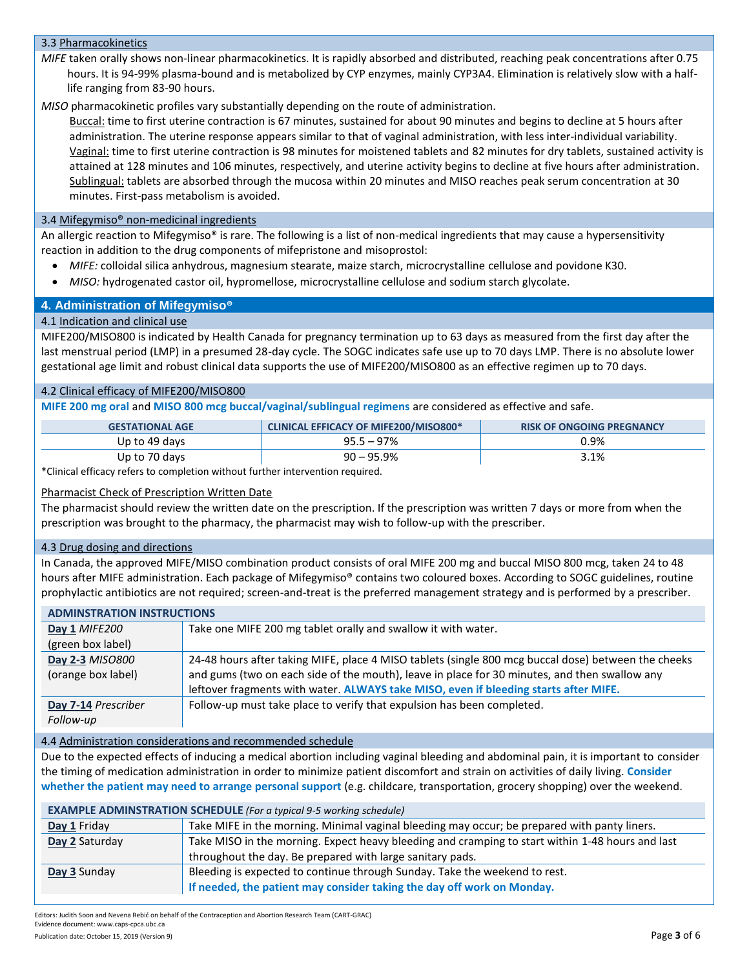## 3.3 Pharmacokinetics

*MIFE* taken orally shows non-linear pharmacokinetics. It is rapidly absorbed and distributed, reaching peak concentrations after 0.75 hours. It is 94-99% plasma-bound and is metabolized by CYP enzymes, mainly CYP3A4. Elimination is relatively slow with a halflife ranging from 83-90 hours.

*MISO* pharmacokinetic profiles vary substantially depending on the route of administration.

Buccal: time to first uterine contraction is 67 minutes, sustained for about 90 minutes and begins to decline at 5 hours after administration. The uterine response appears similar to that of vaginal administration, with less inter-individual variability. Vaginal: time to first uterine contraction is 98 minutes for moistened tablets and 82 minutes for dry tablets, sustained activity is attained at 128 minutes and 106 minutes, respectively, and uterine activity begins to decline at five hours after administration. Sublingual: tablets are absorbed through the mucosa within 20 minutes and MISO reaches peak serum concentration at 30 minutes. First-pass metabolism is avoided.

## 3.4 Mifegymiso® non-medicinal ingredients

An allergic reaction to Mifegymiso® is rare. The following is a list of non-medical ingredients that may cause a hypersensitivity reaction in addition to the drug components of mifepristone and misoprostol:

- *MIFE:* colloidal silica anhydrous, magnesium stearate, maize starch, microcrystalline cellulose and povidone K30.
- *MISO:* hydrogenated castor oil, hypromellose, microcrystalline cellulose and sodium starch glycolate.

## **4. Administration of Mifegymiso®**

## 4.1 Indication and clinical use

MIFE200/MISO800 is indicated by Health Canada for pregnancy termination up to 63 days as measured from the first day after the last menstrual period (LMP) in a presumed 28-day cycle. The SOGC indicates safe use up to 70 days LMP. There is no absolute lower gestational age limit and robust clinical data supports the use of MIFE200/MISO800 as an effective regimen up to 70 days.

### 4.2 Clinical efficacy of MIFE200/MISO800

**MIFE 200 mg oral** and **MISO 800 mcg buccal/vaginal/sublingual regimens** are considered as effective and safe.

| <b>GESTATIONAL AGE</b> | <b>CLINICAL EFFICACY OF MIFE200/MISO800*</b> | <b>RISK OF ONGOING PREGNANCY</b> |
|------------------------|----------------------------------------------|----------------------------------|
| Up to 49 days          | $95.5 - 97\%$                                | 0.9%                             |
| Up to 70 days          | $90 - 95.9\%$                                | 3.1%                             |

\*Clinical efficacy refers to completion without further intervention required.

## Pharmacist Check of Prescription Written Date

The pharmacist should review the written date on the prescription. If the prescription was written 7 days or more from when the prescription was brought to the pharmacy, the pharmacist may wish to follow-up with the prescriber.

### 4.3 Drug dosing and directions

In Canada, the approved MIFE/MISO combination product consists of oral MIFE 200 mg and buccal MISO 800 mcg, taken 24 to 48 hours after MIFE administration. Each package of Mifegymiso® contains two coloured boxes. According to SOGC guidelines, routine prophylactic antibiotics are not required; screen-and-treat is the preferred management strategy and is performed by a prescriber.

| <b>ADMINSTRATION INSTRUCTIONS</b>                                              |                                                                                                     |  |  |
|--------------------------------------------------------------------------------|-----------------------------------------------------------------------------------------------------|--|--|
| Take one MIFE 200 mg tablet orally and swallow it with water.<br>Day 1 MIFE200 |                                                                                                     |  |  |
| (green box label)                                                              |                                                                                                     |  |  |
| Day 2-3 MISO800                                                                | 24-48 hours after taking MIFE, place 4 MISO tablets (single 800 mcg buccal dose) between the cheeks |  |  |
| (orange box label)                                                             | and gums (two on each side of the mouth), leave in place for 30 minutes, and then swallow any       |  |  |
|                                                                                | leftover fragments with water. ALWAYS take MISO, even if bleeding starts after MIFE.                |  |  |
| Day 7-14 Prescriber                                                            | Follow-up must take place to verify that expulsion has been completed.                              |  |  |
| Follow-up                                                                      |                                                                                                     |  |  |

### 4.4 Administration considerations and recommended schedule

Due to the expected effects of inducing a medical abortion including vaginal bleeding and abdominal pain, it is important to consider the timing of medication administration in order to minimize patient discomfort and strain on activities of daily living. **Consider whether the patient may need to arrange personal support** (e.g. childcare, transportation, grocery shopping) over the weekend.

| <b>EXAMPLE ADMINSTRATION SCHEDULE (For a typical 9-5 working schedule)</b> |                                                                                                  |  |  |
|----------------------------------------------------------------------------|--------------------------------------------------------------------------------------------------|--|--|
| Day 1 Friday                                                               | Take MIFE in the morning. Minimal vaginal bleeding may occur; be prepared with panty liners.     |  |  |
| Day 2 Saturday                                                             | Take MISO in the morning. Expect heavy bleeding and cramping to start within 1-48 hours and last |  |  |
|                                                                            | throughout the day. Be prepared with large sanitary pads.                                        |  |  |
| Day 3 Sunday                                                               | Bleeding is expected to continue through Sunday. Take the weekend to rest.                       |  |  |
|                                                                            | If needed, the patient may consider taking the day off work on Monday.                           |  |  |

Editors: Judith Soon and Nevena Rebić on behalf of the Contraception and Abortion Research Team (CART-GRAC) Evidence document: www.caps-cpca.ubc.ca

Publication date: October 15, 2019 (Version 9) **Page 3 of 6 Page 3 of 6**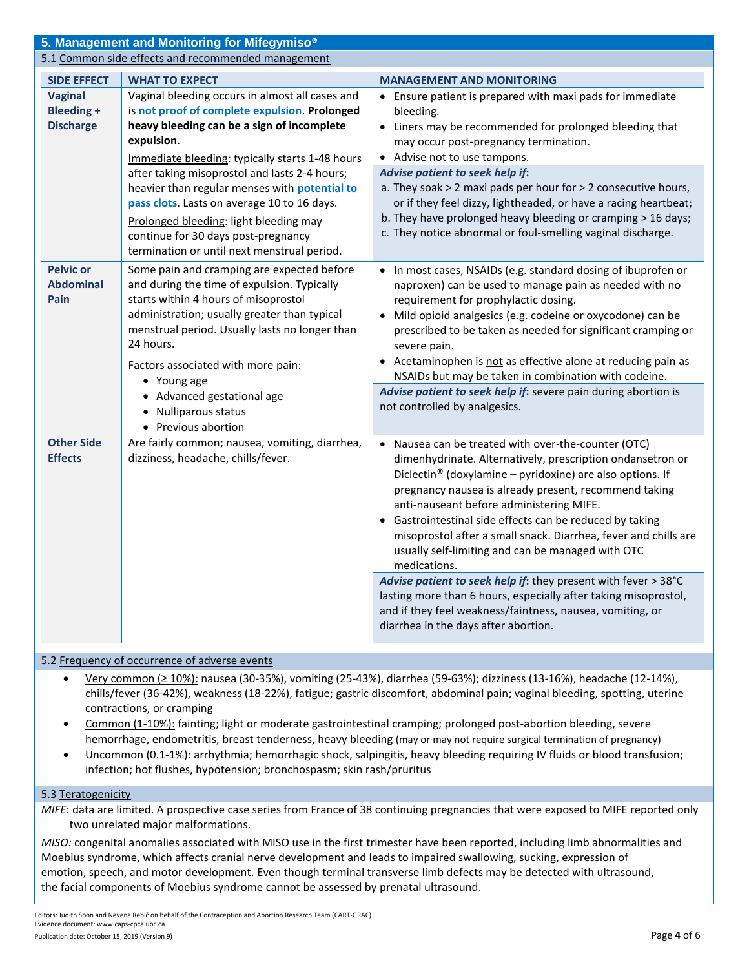| 5. Management and Monitoring for Mifegymiso <sup>®</sup> |                                                                                                                                                                                                                                                                                                                                                                                                                                                                                                  |                                                                                                                                                                                                                                                                                                                                                                                                                                                                                                                                                                                                                                                                                                                                               |  |
|----------------------------------------------------------|--------------------------------------------------------------------------------------------------------------------------------------------------------------------------------------------------------------------------------------------------------------------------------------------------------------------------------------------------------------------------------------------------------------------------------------------------------------------------------------------------|-----------------------------------------------------------------------------------------------------------------------------------------------------------------------------------------------------------------------------------------------------------------------------------------------------------------------------------------------------------------------------------------------------------------------------------------------------------------------------------------------------------------------------------------------------------------------------------------------------------------------------------------------------------------------------------------------------------------------------------------------|--|
| 5.1 Common side effects and recommended management       |                                                                                                                                                                                                                                                                                                                                                                                                                                                                                                  |                                                                                                                                                                                                                                                                                                                                                                                                                                                                                                                                                                                                                                                                                                                                               |  |
| <b>SIDE EFFECT</b>                                       | <b>WHAT TO EXPECT</b>                                                                                                                                                                                                                                                                                                                                                                                                                                                                            | <b>MANAGEMENT AND MONITORING</b>                                                                                                                                                                                                                                                                                                                                                                                                                                                                                                                                                                                                                                                                                                              |  |
| <b>Vaginal</b><br><b>Bleeding +</b><br><b>Discharge</b>  | Vaginal bleeding occurs in almost all cases and<br>is not proof of complete expulsion. Prolonged<br>heavy bleeding can be a sign of incomplete<br>expulsion.<br>Immediate bleeding: typically starts 1-48 hours<br>after taking misoprostol and lasts 2-4 hours;<br>heavier than regular menses with potential to<br>pass clots. Lasts on average 10 to 16 days.<br>Prolonged bleeding: light bleeding may<br>continue for 30 days post-pregnancy<br>termination or until next menstrual period. | • Ensure patient is prepared with maxi pads for immediate<br>bleeding.<br>• Liners may be recommended for prolonged bleeding that<br>may occur post-pregnancy termination.<br>• Advise not to use tampons.<br>Advise patient to seek help if:<br>a. They soak $>$ 2 maxi pads per hour for $>$ 2 consecutive hours,<br>or if they feel dizzy, lightheaded, or have a racing heartbeat;<br>b. They have prolonged heavy bleeding or cramping > 16 days;<br>c. They notice abnormal or foul-smelling vaginal discharge.                                                                                                                                                                                                                         |  |
| <b>Pelvic or</b><br><b>Abdominal</b><br>Pain             | Some pain and cramping are expected before<br>and during the time of expulsion. Typically<br>starts within 4 hours of misoprostol<br>administration; usually greater than typical<br>menstrual period. Usually lasts no longer than<br>24 hours.<br>Factors associated with more pain:<br>• Young age<br>• Advanced gestational age<br>• Nulliparous status<br>• Previous abortion                                                                                                               | • In most cases, NSAIDs (e.g. standard dosing of ibuprofen or<br>naproxen) can be used to manage pain as needed with no<br>requirement for prophylactic dosing.<br>• Mild opioid analgesics (e.g. codeine or oxycodone) can be<br>prescribed to be taken as needed for significant cramping or<br>severe pain.<br>• Acetaminophen is not as effective alone at reducing pain as<br>NSAIDs but may be taken in combination with codeine.<br>Advise patient to seek help if: severe pain during abortion is<br>not controlled by analgesics.                                                                                                                                                                                                    |  |
| <b>Other Side</b><br><b>Effects</b>                      | Are fairly common; nausea, vomiting, diarrhea,<br>dizziness, headache, chills/fever.                                                                                                                                                                                                                                                                                                                                                                                                             | • Nausea can be treated with over-the-counter (OTC)<br>dimenhydrinate. Alternatively, prescription ondansetron or<br>Diclectin <sup>®</sup> (doxylamine - pyridoxine) are also options. If<br>pregnancy nausea is already present, recommend taking<br>anti-nauseant before administering MIFE.<br>• Gastrointestinal side effects can be reduced by taking<br>misoprostol after a small snack. Diarrhea, fever and chills are<br>usually self-limiting and can be managed with OTC<br>medications.<br>Advise patient to seek help if: they present with fever > 38°C<br>lasting more than 6 hours, especially after taking misoprostol,<br>and if they feel weakness/faintness, nausea, vomiting, or<br>diarrhea in the days after abortion. |  |

## 5.2 Frequency of occurrence of adverse events

- Very common (≥ 10%): nausea (30-35%), vomiting (25-43%), diarrhea (59-63%); dizziness (13-16%), headache (12-14%), chills/fever (36-42%), weakness (18-22%), fatigue; gastric discomfort, abdominal pain; vaginal bleeding, spotting, uterine contractions, or cramping
- Common (1-10%): fainting; light or moderate gastrointestinal cramping; prolonged post-abortion bleeding, severe hemorrhage, endometritis, breast tenderness, heavy bleeding (may or may not require surgical termination of pregnancy)
- Uncommon (0.1-1%): arrhythmia; hemorrhagic shock, salpingitis, heavy bleeding requiring IV fluids or blood transfusion; infection; hot flushes, hypotension; bronchospasm; skin rash/pruritus

### 5.3 Teratogenicity

*MIFE*: data are limited. A prospective case series from France of 38 continuing pregnancies that were exposed to MIFE reported only two unrelated major malformations.

*MISO:* congenital anomalies associated with MISO use in the first trimester have been reported, including limb abnormalities and Moebius syndrome, which affects cranial nerve development and leads to impaired swallowing, sucking, expression of emotion, speech, and motor development. Even though terminal transverse limb defects may be detected with ultrasound, the facial components of Moebius syndrome cannot be assessed by prenatal ultrasound.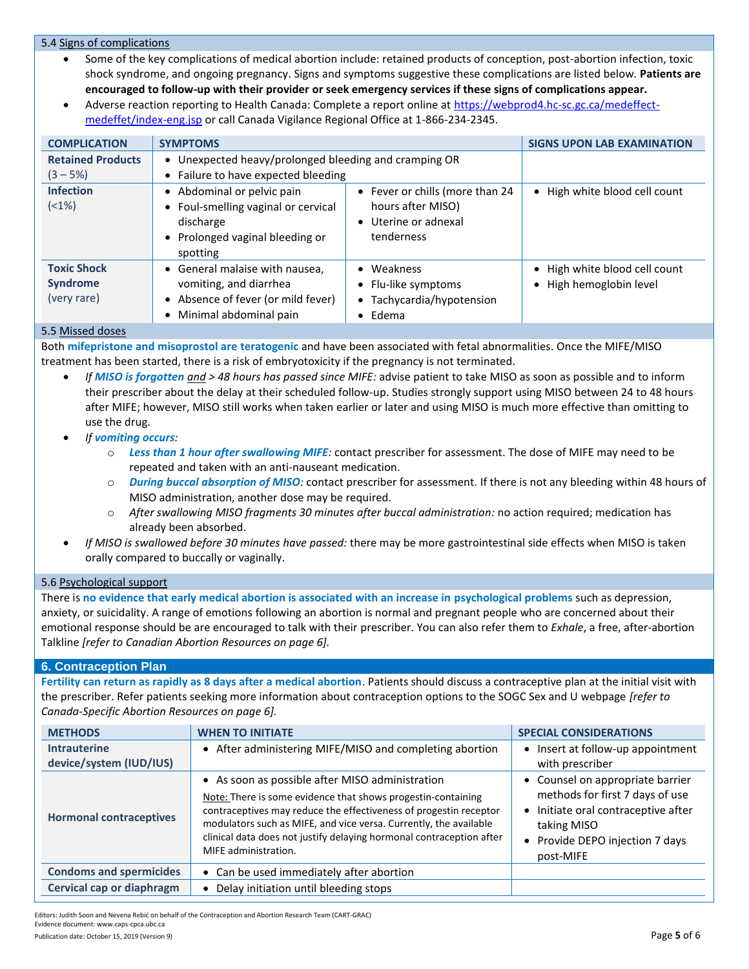## 5.4 Signs of complications

- Some of the key complications of medical abortion include: retained products of conception, post-abortion infection, toxic shock syndrome, and ongoing pregnancy. Signs and symptoms suggestive these complications are listed below*.* **Patients are encouraged to follow-up with their provider or seek emergency services if these signs of complications appear.**
- Adverse reaction reporting to Health Canada: Complete a report online at [https://webprod4.hc-sc.gc.ca/medeffect](https://webprod4.hc-sc.gc.ca/medeffect-medeffet/index-eng.jsp)[medeffet/index-eng.jsp](https://webprod4.hc-sc.gc.ca/medeffect-medeffet/index-eng.jsp) or call Canada Vigilance Regional Office at 1-866-234-2345.

| <b>COMPLICATION</b>                                  | <b>SYMPTOMS</b>                                                                                                                          |                                                                                            | <b>SIGNS UPON LAB EXAMINATION</b>                                   |
|------------------------------------------------------|------------------------------------------------------------------------------------------------------------------------------------------|--------------------------------------------------------------------------------------------|---------------------------------------------------------------------|
| <b>Retained Products</b><br>$(3 - 5%)$               | Unexpected heavy/prolonged bleeding and cramping OR<br>$\bullet$<br>Failure to have expected bleeding<br>$\bullet$                       |                                                                                            |                                                                     |
| <b>Infection</b><br>$(1\%)$                          | Abdominal or pelvic pain<br>$\bullet$<br>• Foul-smelling vaginal or cervical<br>discharge<br>• Prolonged vaginal bleeding or<br>spotting | • Fever or chills (more than 24<br>hours after MISO)<br>• Uterine or adnexal<br>tenderness | • High white blood cell count                                       |
| <b>Toxic Shock</b><br><b>Syndrome</b><br>(very rare) | • General malaise with nausea,<br>vomiting, and diarrhea<br>Absence of fever (or mild fever)<br>$\bullet$<br>Minimal abdominal pain      | • Weakness<br>• Flu-like symptoms<br>Tachycardia/hypotension<br>$\bullet$ Edema            | • High white blood cell count<br>High hemoglobin level<br>$\bullet$ |

### 5.5 Missed doses

Both **mifepristone and misoprostol are teratogenic** and have been associated with fetal abnormalities. Once the MIFE/MISO treatment has been started, there is a risk of embryotoxicity if the pregnancy is not terminated.

- *If MISO is forgotten and > 48 hours has passed since MIFE:* advise patient to take MISO as soon as possible and to inform their prescriber about the delay at their scheduled follow-up. Studies strongly support using MISO between 24 to 48 hours after MIFE; however, MISO still works when taken earlier or later and using MISO is much more effective than omitting to use the drug.
- *If vomiting occurs:*
	- o *Less than 1 hour after swallowing MIFE:* contact prescriber for assessment. The dose of MIFE may need to be repeated and taken with an anti-nauseant medication.
	- o *During buccal absorption of MISO:* contact prescriber for assessment. If there is not any bleeding within 48 hours of MISO administration, another dose may be required.
	- o *After swallowing MISO fragments 30 minutes after buccal administration:* no action required; medication has already been absorbed.
- *If MISO is swallowed before 30 minutes have passed:* there may be more gastrointestinal side effects when MISO is taken orally compared to buccally or vaginally.

## 5.6 Psychological support

There is **no evidence that early medical abortion is associated with an increase in psychological problems** such as depression, anxiety, or suicidality. A range of emotions following an abortion is normal and pregnant people who are concerned about their emotional response should be are encouraged to talk with their prescriber. You can also refer them to *Exhale*, a free, after-abortion Talkline *[refer to Canadian Abortion Resources on page 6].*

## **6. Contraception Plan**

**Fertility can return as rapidly as 8 days after a medical abortion**. Patients should discuss a contraceptive plan at the initial visit with the prescriber. Refer patients seeking more information about contraception options to the SOGC Sex and U webpage *[refer to Canada-Specific Abortion Resources on page 6].*

| <b>METHODS</b>                                 | <b>WHEN TO INITIATE</b>                                                                                                                                                                                                                                                                                                                                   | <b>SPECIAL CONSIDERATIONS</b>                                                                                                                                                      |
|------------------------------------------------|-----------------------------------------------------------------------------------------------------------------------------------------------------------------------------------------------------------------------------------------------------------------------------------------------------------------------------------------------------------|------------------------------------------------------------------------------------------------------------------------------------------------------------------------------------|
| <b>Intrauterine</b><br>device/system (IUD/IUS) | • After administering MIFE/MISO and completing abortion                                                                                                                                                                                                                                                                                                   | Insert at follow-up appointment<br>٠<br>with prescriber                                                                                                                            |
| <b>Hormonal contraceptives</b>                 | • As soon as possible after MISO administration<br>Note: There is some evidence that shows progestin-containing<br>contraceptives may reduce the effectiveness of progestin receptor<br>modulators such as MIFE, and vice versa. Currently, the available<br>clinical data does not justify delaying hormonal contraception after<br>MIFE administration. | • Counsel on appropriate barrier<br>methods for first 7 days of use<br>Initiate oral contraceptive after<br>$\bullet$<br>taking MISO<br>Provide DEPO injection 7 days<br>post-MIFE |
| <b>Condoms and spermicides</b>                 | • Can be used immediately after abortion                                                                                                                                                                                                                                                                                                                  |                                                                                                                                                                                    |
| Cervical cap or diaphragm                      | Delay initiation until bleeding stops                                                                                                                                                                                                                                                                                                                     |                                                                                                                                                                                    |

Editors: Judith Soon and Nevena Rebić on behalf of the Contraception and Abortion Research Team (CART-GRAC) Evidence document: www.caps-cpca.ubc.ca

Publication date: October 15, 2019 (Version 9) **Page 5** of 6